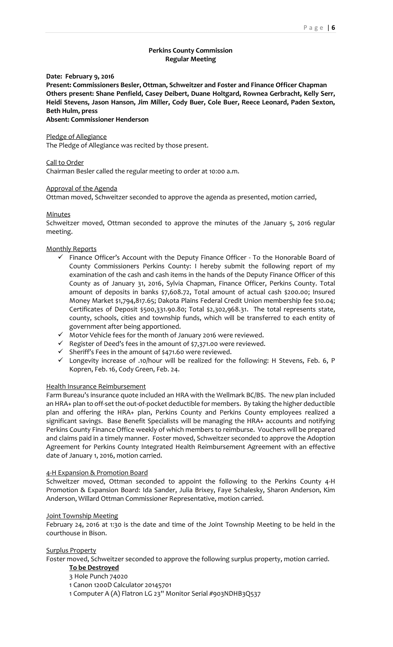# **Perkins County Commission Regular Meeting**

**Date: February 9, 2016**

**Present: Commissioners Besler, Ottman, Schweitzer and Foster and Finance Officer Chapman Others present: Shane Penfield, Casey Deibert, Duane Holtgard, Rownea Gerbracht, Kelly Serr, Heidi Stevens, Jason Hanson, Jim Miller, Cody Buer, Cole Buer, Reece Leonard, Paden Sexton, Beth Hulm, press**

**Absent: Commissioner Henderson**

# Pledge of Allegiance

The Pledge of Allegiance was recited by those present.

# Call to Order

Chairman Besler called the regular meeting to order at 10:00 a.m.

# Approval of the Agenda

Ottman moved, Schweitzer seconded to approve the agenda as presented, motion carried,

# **Minutes**

Schweitzer moved, Ottman seconded to approve the minutes of the January 5, 2016 regular meeting.

# Monthly Reports

- $\checkmark$  Finance Officer's Account with the Deputy Finance Officer To the Honorable Board of County Commissioners Perkins County: I hereby submit the following report of my examination of the cash and cash items in the hands of the Deputy Finance Officer of this County as of January 31, 2016, Sylvia Chapman, Finance Officer, Perkins County. Total amount of deposits in banks \$7,608.72, Total amount of actual cash \$200.00; Insured Money Market \$1,794,817.65; Dakota Plains Federal Credit Union membership fee \$10.04; Certificates of Deposit \$500,331.90.80; Total \$2,302,968.31. The total represents state, county, schools, cities and township funds, which will be transferred to each entity of government after being apportioned.
- $\checkmark$  Motor Vehicle fees for the month of January 2016 were reviewed.
- $\checkmark$  Register of Deed's fees in the amount of \$7,371.00 were reviewed.
- $\checkmark$  Sheriff's Fees in the amount of \$471.60 were reviewed.
- $\checkmark$  Longevity increase of .10/hour will be realized for the following: H Stevens, Feb. 6, P Kopren, Feb. 16, Cody Green, Feb. 24.

### Health Insurance Reimbursement

Farm Bureau's insurance quote included an HRA with the Wellmark BC/BS. The new plan included an HRA+ plan to off-set the out-of-pocket deductible for members. By taking the higher deductible plan and offering the HRA+ plan, Perkins County and Perkins County employees realized a significant savings. Base Benefit Specialists will be managing the HRA+ accounts and notifying Perkins County Finance Office weekly of which members to reimburse. Vouchers will be prepared and claims paid in a timely manner. Foster moved, Schweitzer seconded to approve the Adoption Agreement for Perkins County Integrated Health Reimbursement Agreement with an effective date of January 1, 2016, motion carried.

# 4-H Expansion & Promotion Board

Schweitzer moved, Ottman seconded to appoint the following to the Perkins County 4-H Promotion & Expansion Board: Ida Sander, Julia Brixey, Faye Schalesky, Sharon Anderson, Kim Anderson, Willard Ottman Commissioner Representative, motion carried.

#### Joint Township Meeting

February 24, 2016 at 1:30 is the date and time of the Joint Township Meeting to be held in the courthouse in Bison.

Surplus Property

Foster moved, Schweitzer seconded to approve the following surplus property, motion carried.

# **To be Destroyed**

3 Hole Punch 74020

1 Canon 1200D Calculator 20145701

1 Computer A (A) Flatron LG 23'' Monitor Serial #903NDHB3Q537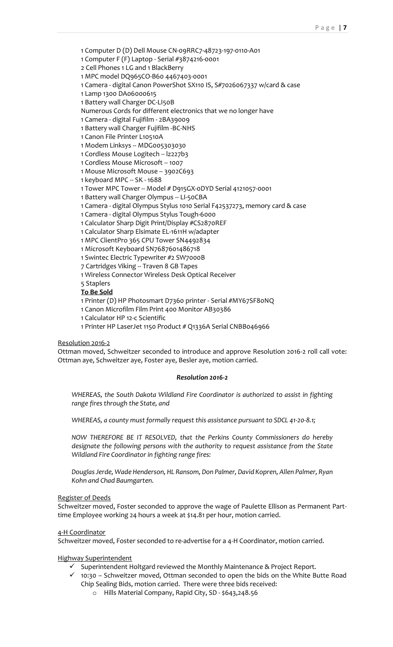1 Computer D (D) Dell Mouse CN-09RRC7-48723-197-0110-A01

1 Computer F (F) Laptop - Serial #3874216-0001

2 Cell Phones 1 LG and 1 BlackBerry

1 MPC model DQ965CO-B60 4467403-0001

1 Camera - digital Canon PowerShot SX110 IS, S#7026067337 w/card & case

1 Lamp 1300 DA06000615

1 Battery wall Charger DC-LI50B

Numerous Cords for different electronics that we no longer have

1 Camera - digital Fujifilm - 2BA39009

1 Battery wall Charger Fujifilm -BC-NHS

1 Canon File Printer L10510A

1 Modem Linksys -- MDG005303030

1 Cordless Mouse Logitech -- lz227b3

1 Cordless Mouse Microsoft -- 1007

1 Mouse Microsoft Mouse -- 3902C693

1 keyboard MPC -- SK - 1688

1 Tower MPC Tower -- Model # D915GX-0DYD Serial 4121057-0001

1 Battery wall Charger Olympus -- LI-50CBA

1 Camera - digital Olympus Stylus 1010 Serial F42537273, memory card & case

1 Camera - digital Olympus Stylus Tough-6000

1 Calculator Sharp Digit Print/Display #CS2870REF

1 Calculator Sharp Elsimate EL-1611H w/adapter

1 MPC ClientPro 365 CPU Tower SN4492834

1 Microsoft Keyboard SN7687601486718

1 Swintec Electric Typewriter #2 SW7000B

7 Cartridges Viking -- Traven 8 GB Tapes

1 Wireless Connector Wireless Desk Optical Receiver

5 Staplers

**To Be Sold**

1 Printer (D) HP Photosmart D7360 printer - Serial #MY67SF80NQ

1 Canon Microfilm Film Print 400 Monitor AB30386

1 Calculator HP 12-c Scientific

1 Printer HP LaserJet 1150 Product # Q1336A Serial CNBB046966

Resolution 2016-2

Ottman moved, Schweitzer seconded to introduce and approve Resolution 2016-2 roll call vote: Ottman aye, Schweitzer aye, Foster aye, Besler aye, motion carried.

# *Resolution 2016-2*

*WHEREAS, the South Dakota Wildland Fire Coordinator is authorized to assist in fighting range fires through the State, and*

*WHEREAS, a county must formally request this assistance pursuant to SDCL 41-20-8.1;*

*NOW THEREFORE BE IT RESOLVED, that the Perkins County Commissioners do hereby designate the following persons with the authority to request assistance from the State Wildland Fire Coordinator in fighting range fires:*

*Douglas Jerde, Wade Henderson, HL Ransom, Don Palmer, David Kopren, Allen Palmer, Ryan Kohn and Chad Baumgarten.*

Register of Deeds

Schweitzer moved, Foster seconded to approve the wage of Paulette Ellison as Permanent Parttime Employee working 24 hours a week at \$14.81 per hour, motion carried.

4-H Coordinator

Schweitzer moved, Foster seconded to re-advertise for a 4-H Coordinator, motion carried.

Highway Superintendent

- $\checkmark$  Superintendent Holtgard reviewed the Monthly Maintenance & Project Report.
- $\checkmark$  10:30 Schweitzer moved, Ottman seconded to open the bids on the White Butte Road Chip Sealing Bids, motion carried. There were three bids received:
	- o Hills Material Company, Rapid City, SD \$643,248.56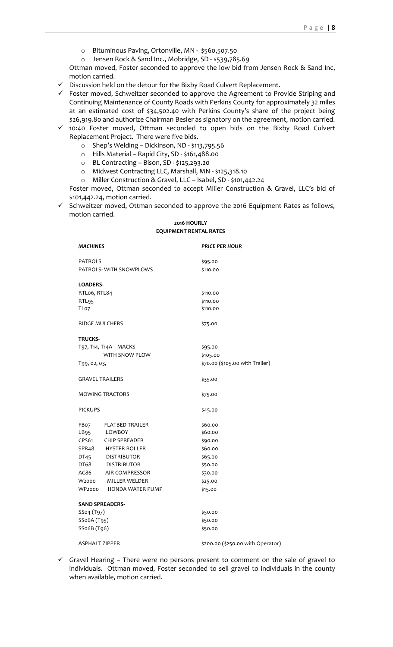- o Bituminous Paving, Ortonville, MN \$560,507.50
- o Jensen Rock & Sand Inc., Mobridge, SD \$539,785.69

Ottman moved, Foster seconded to approve the low bid from Jensen Rock & Sand Inc, motion carried.

- $\checkmark$  Discussion held on the detour for the Bixby Road Culvert Replacement.
- $\checkmark$  Foster moved, Schweitzer seconded to approve the Agreement to Provide Striping and Continuing Maintenance of County Roads with Perkins County for approximately 32 miles at an estimated cost of \$34,502.40 with Perkins County's share of the project being \$26,919.80 and authorize Chairman Besler as signatory on the agreement, motion carried.
- $\checkmark$  10:40 Foster moved, Ottman seconded to open bids on the Bixby Road Culvert Replacement Project. There were five bids.
	- o Shep's Welding Dickinson, ND \$113,795.56
	- o Hills Material Rapid City, SD \$161,488.00
	- o BL Contracting Bison, SD \$125,293.20
	- o Midwest Contracting LLC, Marshall, MN \$125,318.10
	- o Miller Construction & Gravel, LLC Isabel, SD \$101,442.24

Foster moved, Ottman seconded to accept Miller Construction & Gravel, LLC's bid of \$101,442.24, motion carried.

 $\checkmark$  Schweitzer moved, Ottman seconded to approve the 2016 Equipment Rates as follows, motion carried.

# **2016 HOURLY EQUIPMENT RENTAL RATES**

| <u>MACHINES</u>         |                         | <b>PRICE PER HOUR</b>             |
|-------------------------|-------------------------|-----------------------------------|
| <b>PATROLS</b>          |                         | \$95.00                           |
| PATROLS- WITH SNOWPLOWS |                         | \$110.00                          |
| <b>LOADERS-</b>         |                         |                                   |
| RTLo6, RTL84            |                         | \$110.00                          |
| RTL95                   |                         | \$110.00                          |
| TLo7                    |                         | \$110.00                          |
| <b>RIDGE MULCHERS</b>   |                         | \$75.00                           |
| <b>TRUCKS-</b>          |                         |                                   |
| T97, T14, T14A MACKS    |                         | \$95.00                           |
| WITH SNOW PLOW          |                         | \$105.00                          |
| T99, 02, 03,            |                         | \$70.00 (\$105.00 with Trailer)   |
| <b>GRAVEL TRAILERS</b>  |                         | \$35.00                           |
| <b>MOWING TRACTORS</b>  |                         | \$75.00                           |
| <b>PICKUPS</b>          |                         | \$45.00                           |
|                         | FB07 FLATBED TRAILER    | \$60.00                           |
| LB95                    | LOWBOY                  | \$60.00                           |
|                         | CPS61 CHIP SPREADER     | \$90.00                           |
|                         | SPR48 HYSTER ROLLER     | \$60.00                           |
| DT45                    | <b>DISTRIBUTOR</b>      | \$65.00                           |
|                         | DT68 DISTRIBUTOR        | \$50.00                           |
|                         | AC86 AIR COMPRESSOR     | \$30.00                           |
|                         | W2000 MILLER WELDER     | \$25.00                           |
| WP2000                  | <b>HONDA WATER PUMP</b> | \$15.00                           |
|                         | <b>SAND SPREADERS-</b>  |                                   |
| SSo4 (T97)              |                         | \$50.00                           |
| SSo6A (T95)             |                         | \$50.00                           |
| SSo6B (T96)             |                         | \$50.00                           |
| <b>ASPHALT ZIPPER</b>   |                         | \$200.00 (\$250.00 with Operator) |

 $\checkmark$  Gravel Hearing – There were no persons present to comment on the sale of gravel to individuals. Ottman moved, Foster seconded to sell gravel to individuals in the county when available, motion carried.